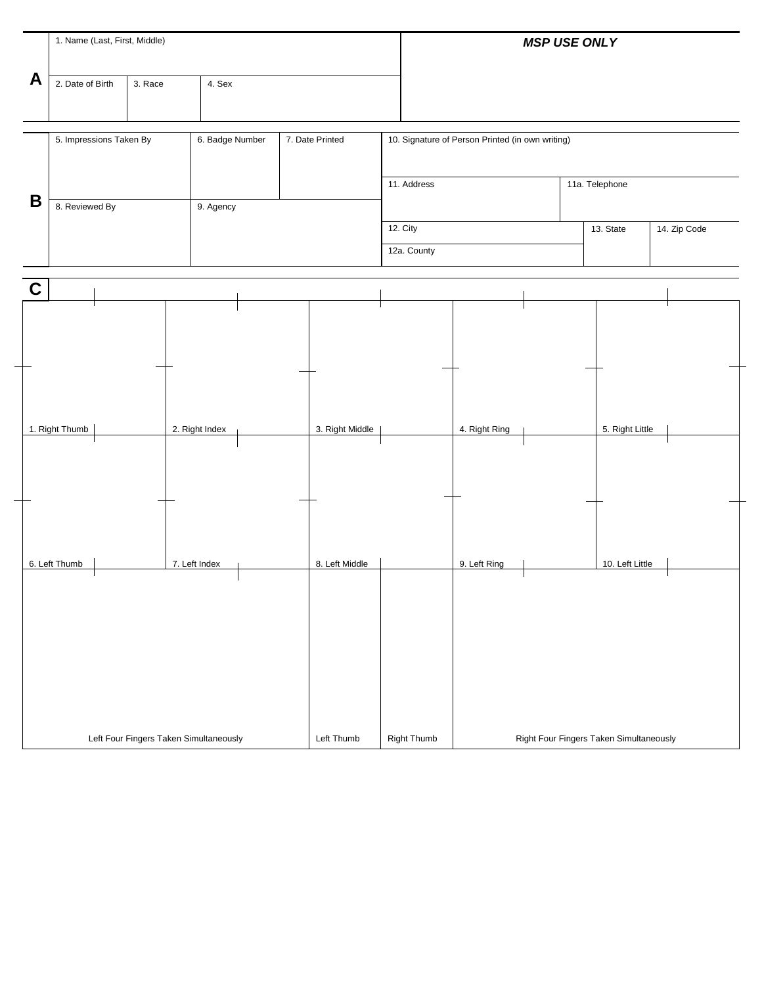|             | 1. Name (Last, First, Middle) |                                        |                 |                 |                                                  | <b>MSP USE ONLY</b>                     |                 |                |  |
|-------------|-------------------------------|----------------------------------------|-----------------|-----------------|--------------------------------------------------|-----------------------------------------|-----------------|----------------|--|
| A           | 2. Date of Birth              | 3. Race                                | 4. Sex          |                 |                                                  |                                         |                 |                |  |
|             | 5. Impressions Taken By       |                                        | 6. Badge Number | 7. Date Printed | 10. Signature of Person Printed (in own writing) |                                         |                 |                |  |
| B           | 8. Reviewed By                |                                        | 9. Agency       |                 | 11. Address                                      |                                         |                 | 11a. Telephone |  |
|             |                               |                                        |                 |                 | 12. City<br>12a. County                          |                                         | 13. State       | 14. Zip Code   |  |
| $\mathbf C$ |                               |                                        |                 |                 |                                                  |                                         |                 |                |  |
|             |                               |                                        |                 |                 |                                                  |                                         |                 |                |  |
|             |                               |                                        |                 |                 |                                                  |                                         |                 |                |  |
|             | 1. Right Thumb                |                                        | 2. Right Index  | 3. Right Middle |                                                  | 4. Right Ring                           | 5. Right Little |                |  |
|             |                               |                                        |                 |                 |                                                  |                                         |                 |                |  |
|             |                               |                                        |                 |                 |                                                  |                                         |                 |                |  |
|             | 6. Left Thumb                 |                                        | 7. Left Index   | 8. Left Middle  |                                                  | 9. Left Ring                            | 10. Left Little |                |  |
|             |                               |                                        |                 |                 |                                                  |                                         |                 |                |  |
|             |                               |                                        |                 |                 |                                                  |                                         |                 |                |  |
|             |                               |                                        |                 |                 |                                                  |                                         |                 |                |  |
|             |                               | Left Four Fingers Taken Simultaneously |                 | Left Thumb      | <b>Right Thumb</b>                               | Right Four Fingers Taken Simultaneously |                 |                |  |